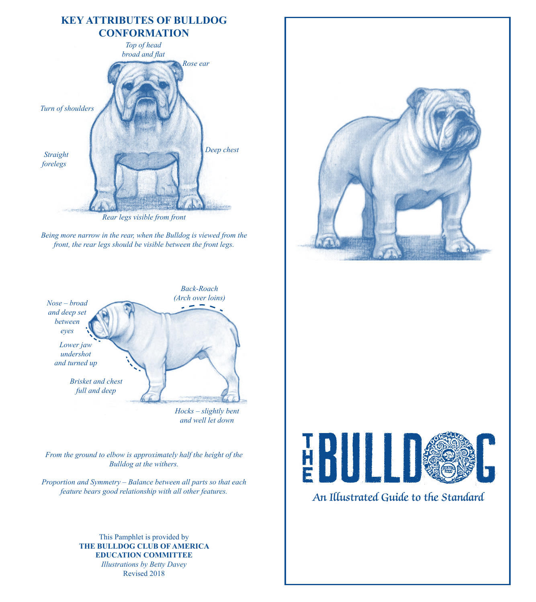# **KEY ATTRIBUTES OF BULLDOG CONFORMATION** *Top of head*



*Rear legs visible from front*

*Being more narrow in the rear, when the Bulldog is viewed from the front, the rear legs should be visible between the front legs.*



*and well let down*

*From the ground to elbow is approximately half the height of the Bulldog at the withers.*

*Proportion and Symmetry – Balance between all parts so that each feature bears good relationship with all other features.*

> This Pamphlet is provided by **THE BULLDOG CLUB OF AMERICA EDUCATION COMMITTEE** *Illustrations by Betty Davey* Revised 2018





An Illustrated Guide to the Standard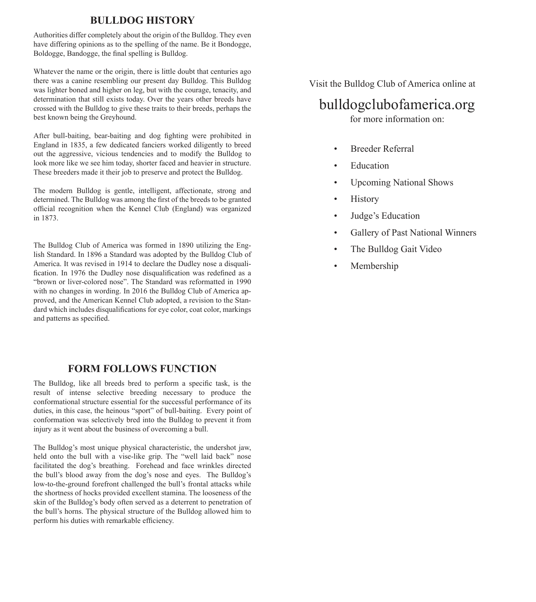### **BULLDOG HISTORY**

Authorities differ completely about the origin of the Bulldog. They even have differing opinions as to the spelling of the name. Be it Bondogge, Boldogge, Bandogge, the final spelling is Bulldog.

Whatever the name or the origin, there is little doubt that centuries ago there was a canine resembling our present day Bulldog. This Bulldog was lighter boned and higher on leg, but with the courage, tenacity, and determination that still exists today. Over the years other breeds have crossed with the Bulldog to give these traits to their breeds, perhaps the best known being the Greyhound.

After bull-baiting, bear-baiting and dog fighting were prohibited in England in 1835, a few dedicated fanciers worked diligently to breed out the aggressive, vicious tendencies and to modify the Bulldog to look more like we see him today, shorter faced and heavier in structure. These breeders made it their job to preserve and protect the Bulldog.

The modern Bulldog is gentle, intelligent, affectionate, strong and determined. The Bulldog was among the first of the breeds to be granted official recognition when the Kennel Club (England) was organized in 1873.

The Bulldog Club of America was formed in 1890 utilizing the English Standard. In 1896 a Standard was adopted by the Bulldog Club of America. It was revised in 1914 to declare the Dudley nose a disqualification. In 1976 the Dudley nose disqualification was redefined as a "brown or liver-colored nose". The Standard was reformatted in 1990 with no changes in wording. In 2016 the Bulldog Club of America approved, and the American Kennel Club adopted, a revision to the Standard which includes disqualifications for eye color, coat color, markings and patterns as specified.

# **FORM FOLLOWS FUNCTION**

The Bulldog, like all breeds bred to perform a specific task, is the result of intense selective breeding necessary to produce the conformational structure essential for the successful performance of its duties, in this case, the heinous "sport" of bull-baiting. Every point of conformation was selectively bred into the Bulldog to prevent it from injury as it went about the business of overcoming a bull.

The Bulldog's most unique physical characteristic, the undershot jaw, held onto the bull with a vise-like grip. The "well laid back" nose facilitated the dog's breathing. Forehead and face wrinkles directed the bull's blood away from the dog's nose and eyes. The Bulldog's low-to-the-ground forefront challenged the bull's frontal attacks while the shortness of hocks provided excellent stamina. The looseness of the skin of the Bulldog's body often served as a deterrent to penetration of the bull's horns. The physical structure of the Bulldog allowed him to perform his duties with remarkable efficiency.

Visit the Bulldog Club of America online at

# bulldogclubofamerica.org

for more information on:

- **Breeder Referral**
- **Education**
- Upcoming National Shows
- **History**
- Judge's Education
- Gallery of Past National Winners
- The Bulldog Gait Video
- Membership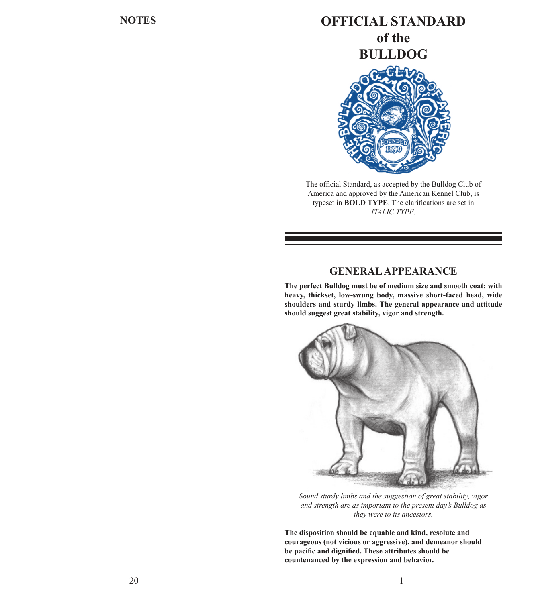# **OFFICIAL STANDARD of the BULLDOG**

The official Standard, as accepted by the Bulldog Club of America and approved by the American Kennel Club, is typeset in **BOLD TYPE**. The clarifications are set in *ITALIC TYPE*.

### **GENERAL APPEARANCE**

**The perfect Bulldog must be of medium size and smooth coat; with heavy, thickset, low-swung body, massive short-faced head, wide shoulders and sturdy limbs. The general appearance and attitude should suggest great stability, vigor and strength.**



*Sound sturdy limbs and the suggestion of great stability, vigor and strength are as important to the present day's Bulldog as they were to its ancestors.*

**The disposition should be equable and kind, resolute and courageous (not vicious or aggressive), and demeanor should be pacific and dignified. These attributes should be countenanced by the expression and behavior.**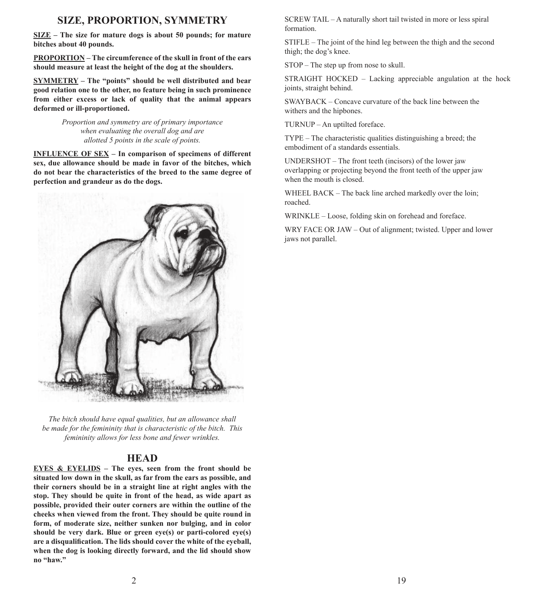# **SIZE, PROPORTION, SYMMETRY**

**SIZE – The size for mature dogs is about 50 pounds; for mature bitches about 40 pounds.**

**PROPORTION – The circumference of the skull in front of the ears should measure at least the height of the dog at the shoulders.**

**SYMMETRY – The "points" should be well distributed and bear good relation one to the other, no feature being in such prominence from either excess or lack of quality that the animal appears deformed or ill-proportioned.** 

> *Proportion and symmetry are of primary importance when evaluating the overall dog and are allotted 5 points in the scale of points.*

**INFLUENCE OF SEX – In comparison of specimens of different sex, due allowance should be made in favor of the bitches, which do not bear the characteristics of the breed to the same degree of perfection and grandeur as do the dogs.**



*The bitch should have equal qualities, but an allowance shall be made for the femininity that is characteristic of the bitch. This femininity allows for less bone and fewer wrinkles.*

### **HEAD**

**EYES & EYELIDS – The eyes, seen from the front should be situated low down in the skull, as far from the ears as possible, and their corners should be in a straight line at right angles with the stop. They should be quite in front of the head, as wide apart as possible, provided their outer corners are within the outline of the cheeks when viewed from the front. They should be quite round in form, of moderate size, neither sunken nor bulging, and in color should be very dark. Blue or green eye(s) or parti-colored eye(s) are a disqualification. The lids should cover the white of the eyeball, when the dog is looking directly forward, and the lid should show no "haw."**

SCREW TAIL – A naturally short tail twisted in more or less spiral formation.

STIFLE – The joint of the hind leg between the thigh and the second thigh; the dog's knee.

STOP – The step up from nose to skull.

STRAIGHT HOCKED – Lacking appreciable angulation at the hock joints, straight behind.

SWAYBACK – Concave curvature of the back line between the withers and the hipbones.

TURNUP – An uptilted foreface.

TYPE – The characteristic qualities distinguishing a breed; the embodiment of a standards essentials.

UNDERSHOT – The front teeth (incisors) of the lower jaw overlapping or projecting beyond the front teeth of the upper jaw when the mouth is closed.

WHEEL BACK – The back line arched markedly over the loin; roached.

WRINKLE – Loose, folding skin on forehead and foreface.

WRY FACE OR JAW – Out of alignment; twisted. Upper and lower jaws not parallel.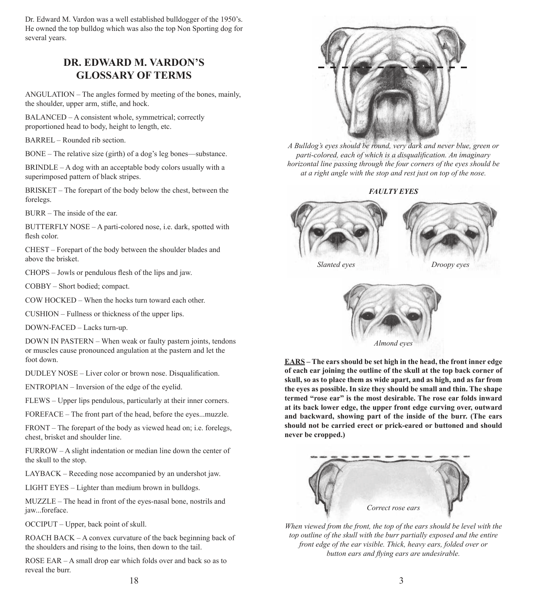Dr. Edward M. Vardon was a well established bulldogger of the 1950's. He owned the top bulldog which was also the top Non Sporting dog for several years.

# **DR. EDWARD M. VARDON'S GLOSSARY OF TERMS**

ANGULATION – The angles formed by meeting of the bones, mainly, the shoulder, upper arm, stifle, and hock.

BALANCED – A consistent whole, symmetrical; correctly proportioned head to body, height to length, etc.

BARREL – Rounded rib section.

BONE – The relative size (girth) of a dog's leg bones—substance.

BRINDLE – A dog with an acceptable body colors usually with a superimposed pattern of black stripes.

BRISKET – The forepart of the body below the chest, between the forelegs.

BURR – The inside of the ear.

BUTTERFLY NOSE – A parti-colored nose, i.e. dark, spotted with flesh color.

CHEST – Forepart of the body between the shoulder blades and above the brisket.

CHOPS – Jowls or pendulous flesh of the lips and jaw.

COBBY – Short bodied; compact.

COW HOCKED – When the hocks turn toward each other.

CUSHION – Fullness or thickness of the upper lips.

DOWN-FACED – Lacks turn-up.

DOWN IN PASTERN – When weak or faulty pastern joints, tendons or muscles cause pronounced angulation at the pastern and let the foot down.

DUDLEY NOSE – Liver color or brown nose. Disqualification.

ENTROPIAN – Inversion of the edge of the eyelid.

FLEWS – Upper lips pendulous, particularly at their inner corners.

FOREFACE – The front part of the head, before the eyes...muzzle.

FRONT – The forepart of the body as viewed head on; i.e. forelegs, chest, brisket and shoulder line.

FURROW – A slight indentation or median line down the center of the skull to the stop.

LAYBACK – Receding nose accompanied by an undershot jaw.

LIGHT EYES – Lighter than medium brown in bulldogs.

MUZZLE – The head in front of the eyes-nasal bone, nostrils and jaw...foreface.

OCCIPUT – Upper, back point of skull.

ROACH BACK – A convex curvature of the back beginning back of the shoulders and rising to the loins, then down to the tail.

ROSE EAR – A small drop ear which folds over and back so as to reveal the burr.



*A Bulldog's eyes should be round, very dark and never blue, green or parti-colored, each of which is a disqualification. An imaginary horizontal line passing through the four corners of the eyes should be at a right angle with the stop and rest just on top of the nose.*

### *FAULTY EYES*





*Slanted eyes Droopy eyes*



**EARS – The ears should be set high in the head, the front inner edge of each ear joining the outline of the skull at the top back corner of skull, so as to place them as wide apart, and as high, and as far from the eyes as possible. In size they should be small and thin. The shape termed "rose ear" is the most desirable. The rose ear folds inward at its back lower edge, the upper front edge curving over, outward and backward, showing part of the inside of the burr. (The ears should not be carried erect or prick-eared or buttoned and should never be cropped.)**



*When viewed from the front, the top of the ears should be level with the top outline of the skull with the burr partially exposed and the entire front edge of the ear visible. Thick, heavy ears, folded over or button ears and flying ears are undesirable.*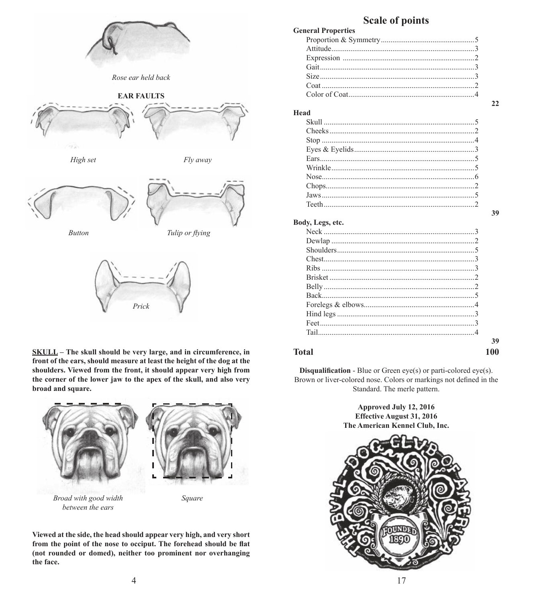

**SKULL – The skull should be very large, and in circumference, in front of the ears, should measure at least the height of the dog at the shoulders. Viewed from the front, it should appear very high from the corner of the lower jaw to the apex of the skull, and also very broad and square.**



*between the ears*

**Viewed at the side, the head should appear very high, and very short from the point of the nose to occiput. The forehead should be flat (not rounded or domed), neither too prominent nor overhanging the face.**

# **Scale of points**

| <b>General Properties</b>                                                                                        |  |
|------------------------------------------------------------------------------------------------------------------|--|
|                                                                                                                  |  |
|                                                                                                                  |  |
|                                                                                                                  |  |
|                                                                                                                  |  |
|                                                                                                                  |  |
| $\text{Coat}$ $\ldots$ $\ldots$ $\ldots$ $\ldots$ $\ldots$ $\ldots$ $\ldots$ $\ldots$ $\ldots$ $\ldots$ $\ldots$ |  |
|                                                                                                                  |  |

**22**

**39**

### **Head**

| $\sim$                                                                                                                                                                                                                                                                          |  |
|---------------------------------------------------------------------------------------------------------------------------------------------------------------------------------------------------------------------------------------------------------------------------------|--|
|                                                                                                                                                                                                                                                                                 |  |
|                                                                                                                                                                                                                                                                                 |  |
|                                                                                                                                                                                                                                                                                 |  |
|                                                                                                                                                                                                                                                                                 |  |
|                                                                                                                                                                                                                                                                                 |  |
|                                                                                                                                                                                                                                                                                 |  |
|                                                                                                                                                                                                                                                                                 |  |
|                                                                                                                                                                                                                                                                                 |  |
| Jaws 3. 2008. The summary state of $\frac{1}{2}$ aws 3. $\frac{1}{2}$ and $\frac{1}{2}$ are $\frac{1}{2}$ and $\frac{1}{2}$ and $\frac{1}{2}$ are $\frac{1}{2}$ and $\frac{1}{2}$ are $\frac{1}{2}$ and $\frac{1}{2}$ are $\frac{1}{2}$ and $\frac{1}{2}$ are $\frac{1}{2}$ and |  |
|                                                                                                                                                                                                                                                                                 |  |
|                                                                                                                                                                                                                                                                                 |  |

### **Body, Legs, etc.**

### **Total 100**

**Disqualification** - Blue or Green eye(s) or parti-colored eye(s). Brown or liver-colored nose. Colors or markings not defined in the Standard. The merle pattern.



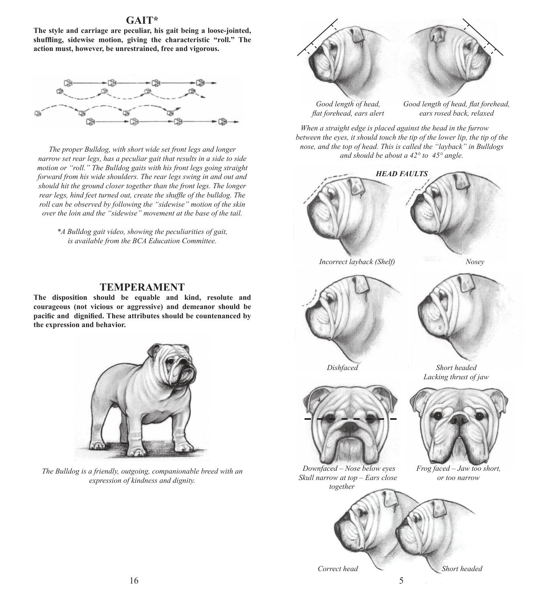### **GAIT\***

**The style and carriage are peculiar, his gait being a loose-jointed, shuffling, sidewise motion, giving the characteristic "roll." The action must, however, be unrestrained, free and vigorous.**



*The proper Bulldog, with short wide set front legs and longer narrow set rear legs, has a peculiar gait that results in a side to side motion or "roll." The Bulldog gaits with his front legs going straight forward from his wide shoulders. The rear legs swing in and out and should hit the ground closer together than the front legs. The longer rear legs, hind feet turned out, create the shuffle of the bulldog. The roll can be observed by following the "sidewise" motion of the skin over the loin and the "sidewise" movement at the base of the tail.* 

*\*A Bulldog gait video, showing the peculiarities of gait, is available from the BCA Education Committee.*

### **TEMPERAMENT**

**The disposition should be equable and kind, resolute and courageous (not vicious or aggressive) and demeanor should be pacific and dignified. These attributes should be countenanced by the expression and behavior.**



*The Bulldog is a friendly, outgoing, companionable breed with an expression of kindness and dignity.*

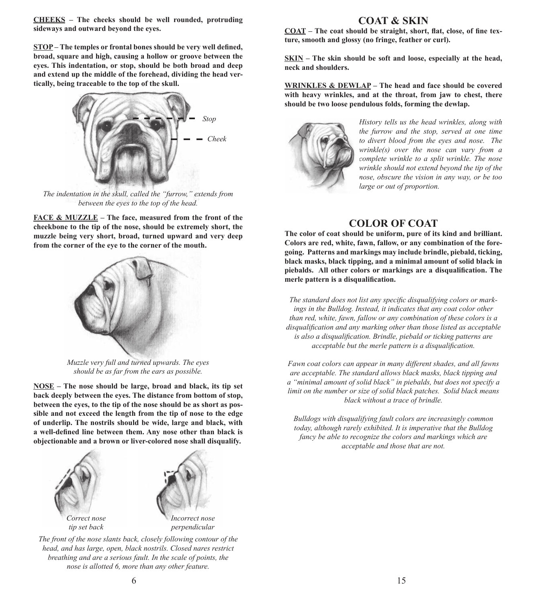**CHEEKS – The cheeks should be well rounded, protruding sideways and outward beyond the eyes.**

**STOP – The temples or frontal bones should be very well defined, broad, square and high, causing a hollow or groove between the eyes. This indentation, or stop, should be both broad and deep and extend up the middle of the forehead, dividing the head vertically, being traceable to the top of the skull.**



*The indentation in the skull, called the "furrow," extends from between the eyes to the top of the head.*

**FACE & MUZZLE – The face, measured from the front of the cheekbone to the tip of the nose, should be extremely short, the muzzle being very short, broad, turned upward and very deep from the corner of the eye to the corner of the mouth.**



*Muzzle very full and turned upwards. The eyes should be as far from the ears as possible.*

**NOSE – The nose should be large, broad and black, its tip set back deeply between the eyes. The distance from bottom of stop, between the eyes, to the tip of the nose should be as short as possible and not exceed the length from the tip of nose to the edge of underlip. The nostrils should be wide, large and black, with a well-defined line between them. Any nose other than black is objectionable and a brown or liver-colored nose shall disqualify.**



*The front of the nose slants back, closely following contour of the head, and has large, open, black nostrils. Closed nares restrict breathing and are a serious fault. In the scale of points, the nose is allotted 6, more than any other feature.*

### **COAT & SKIN**

**COAT – The coat should be straight, short, flat, close, of fine texture, smooth and glossy (no fringe, feather or curl).**

**SKIN – The skin should be soft and loose, especially at the head, neck and shoulders.**

**WRINKLES & DEWLAP – The head and face should be covered with heavy wrinkles, and at the throat, from jaw to chest, there should be two loose pendulous folds, forming the dewlap.**



*History tells us the head wrinkles, along with the furrow and the stop, served at one time to divert blood from the eyes and nose. The wrinkle(s) over the nose can vary from a complete wrinkle to a split wrinkle. The nose wrinkle should not extend beyond the tip of the nose, obscure the vision in any way, or be too large or out of proportion.* 

## **COLOR OF COAT**

**The color of coat should be uniform, pure of its kind and brilliant. Colors are red, white, fawn, fallow, or any combination of the foregoing. Patterns and markings may include brindle, piebald, ticking, black masks, black tipping, and a minimal amount of solid black in piebalds. All other colors or markings are a disqualification. The merle pattern is a disqualification.**

*The standard does not list any specific disqualifying colors or markings in the Bulldog. Instead, it indicates that any coat color other than red, white, fawn, fallow or any combination of these colors is a disqualification and any marking other than those listed as acceptable is also a disqualification. Brindle, piebald or ticking patterns are acceptable but the merle pattern is a disqualification.* 

*Fawn coat colors can appear in many different shades, and all fawns are acceptable. The standard allows black masks, black tipping and a "minimal amount of solid black" in piebalds, but does not specify a limit on the number or size of solid black patches. Solid black means black without a trace of brindle.* 

*Bulldogs with disqualifying fault colors are increasingly common today, although rarely exhibited. It is imperative that the Bulldog fancy be able to recognize the colors and markings which are acceptable and those that are not.*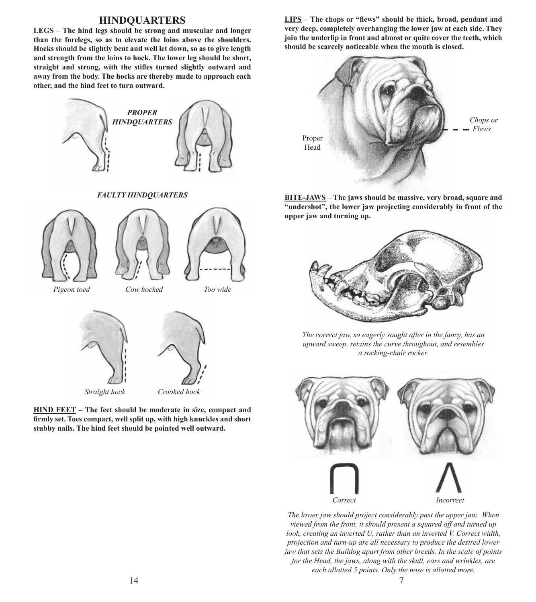### **HINDQUARTERS**

**LEGS – The hind legs should be strong and muscular and longer than the forelegs, so as to elevate the loins above the shoulders. Hocks should be slightly bent and well let down, so as to give length and strength from the loins to hock. The lower leg should be short, straight and strong, with the stifles turned slightly outward and away from the body. The hocks are thereby made to approach each other, and the hind feet to turn outward.**



*FAULTY HINDQUARTERS*







*Pigeon toed Cow hocked Too wide*



**HIND FEET – The feet should be moderate in size, compact and firmly set. Toes compact, well split up, with high knuckles and short stubby nails. The hind feet should be pointed well outward.**

**LIPS – The chops or "flews" should be thick, broad, pendant and very deep, completely overhanging the lower jaw at each side. They join the underlip in front and almost or quite cover the teeth, which should be scarcely noticeable when the mouth is closed.**



**BITE-JAWS – The jaws should be massive, very broad, square and "undershot", the lower jaw projecting considerably in front of the upper jaw and turning up.**



*The correct jaw, so eagerly sought after in the fancy, has an upward sweep, retains the curve throughout, and resembles a rocking-chair rocker.*



*The lower jaw should project considerably past the upper jaw. When viewed from the front, it should present a squared off and turned up look, creating an inverted U, rather than an inverted V. Correct width, projection and turn-up are all necessary to produce the desired lower jaw that sets the Bulldog apart from other breeds. In the scale of points for the Head, the jaws, along with the skull, ears and wrinkles, are each allotted 5 points. Only the nose is allotted more.*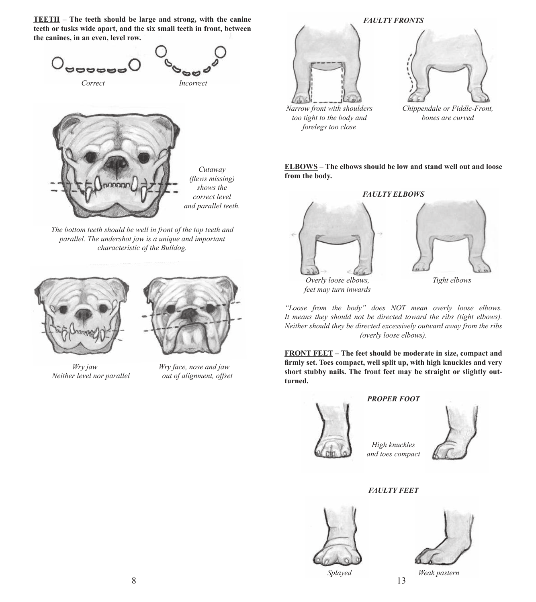**TEETH – The teeth should be large and strong, with the canine teeth or tusks wide apart, and the six small teeth in front, between the canines, in an even, level row.**



*The bottom teeth should be well in front of the top teeth and parallel. The undershot jaw is a unique and important characteristic of the Bulldog.*



*Neither level nor parallel out of alignment, offset*



 *Wry jaw Wry face, nose and jaw*



### **ELBOWS – The elbows should be low and stand well out and loose from the body.**





*feet may turn inwards* 

*"Loose from the body" does NOT mean overly loose elbows. It means they should not be directed toward the ribs (tight elbows). Neither should they be directed excessively outward away from the ribs (overly loose elbows).* 

**FRONT FEET – The feet should be moderate in size, compact and firmly set. Toes compact, well split up, with high knuckles and very short stubby nails. The front feet may be straight or slightly outturned.**



*PROPER FOOT*

*High knuckles and toes compact*



# *FAULTY FEET*





 $8 \t\t 13$ 

*Splayed Weak pastern*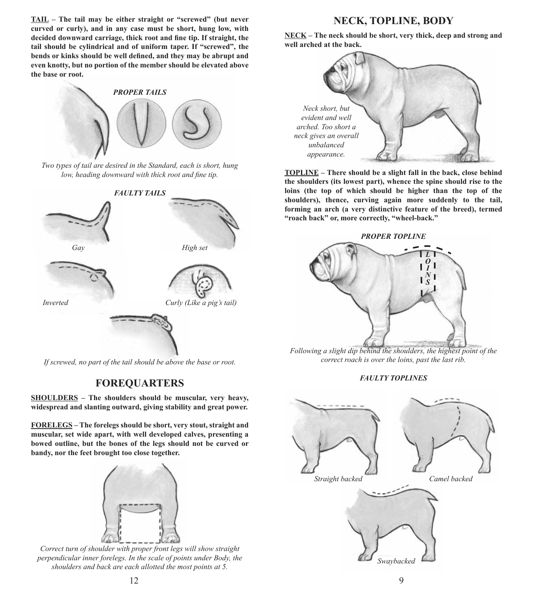**TAIL – The tail may be either straight or "screwed" (but never curved or curly), and in any case must be short, hung low, with decided downward carriage, thick root and fine tip. If straight, the tail should be cylindrical and of uniform taper. If "screwed", the bends or kinks should be well defined, and they may be abrupt and even knotty, but no portion of the member should be elevated above the base or root.**



*Two types of tail are desired in the Standard, each is short, hung low, heading downward with thick root and fine tip.*



*If screwed, no part of the tail should be above the base or root.*

# **FOREQUARTERS**

**SHOULDERS – The shoulders should be muscular, very heavy, widespread and slanting outward, giving stability and great power.**

**FORELEGS – The forelegs should be short, very stout, straight and muscular, set wide apart, with well developed calves, presenting a bowed outline, but the bones of the legs should not be curved or bandy, nor the feet brought too close together.**



*Correct turn of shoulder with proper front legs will show straight perpendicular inner forelegs. In the scale of points under Body, the shoulders and back are each allotted the most points at 5.*

# **NECK, TOPLINE, BODY**

**NECK – The neck should be short, very thick, deep and strong and well arched at the back.**



**TOPLINE – There should be a slight fall in the back, close behind the shoulders (its lowest part), whence the spine should rise to the loins (the top of which should be higher than the top of the shoulders), thence, curving again more suddenly to the tail, forming an arch (a very distinctive feature of the breed), termed "roach back" or, more correctly, "wheel-back."**



*Following a slight dip behind the shoulders, the highest point of the correct roach is over the loins, past the last rib.*

*FAULTY TOPLINES*